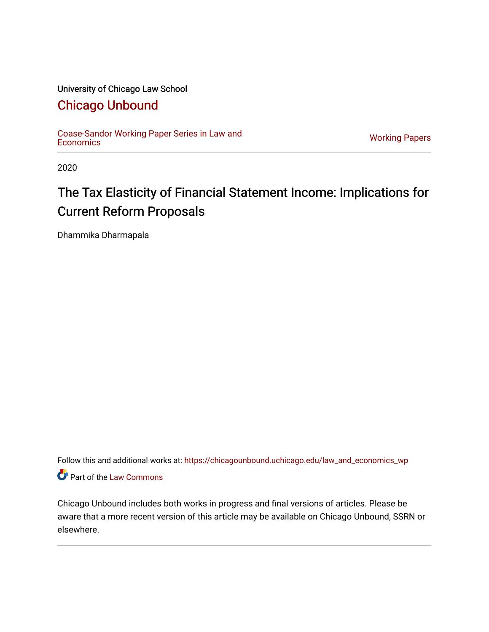#### University of Chicago Law School

# [Chicago Unbound](https://chicagounbound.uchicago.edu/)

[Coase-Sandor Working Paper Series in Law and](https://chicagounbound.uchicago.edu/law_and_economics_wp) [Economics](https://chicagounbound.uchicago.edu/law_and_economics_wp) [Working Papers](https://chicagounbound.uchicago.edu/working_papers) 

2020

# The Tax Elasticity of Financial Statement Income: Implications for Current Reform Proposals

Dhammika Dharmapala

Follow this and additional works at: [https://chicagounbound.uchicago.edu/law\\_and\\_economics\\_wp](https://chicagounbound.uchicago.edu/law_and_economics_wp?utm_source=chicagounbound.uchicago.edu%2Flaw_and_economics_wp%2F35&utm_medium=PDF&utm_campaign=PDFCoverPages)  Part of the [Law Commons](http://network.bepress.com/hgg/discipline/578?utm_source=chicagounbound.uchicago.edu%2Flaw_and_economics_wp%2F35&utm_medium=PDF&utm_campaign=PDFCoverPages)

Chicago Unbound includes both works in progress and final versions of articles. Please be aware that a more recent version of this article may be available on Chicago Unbound, SSRN or elsewhere.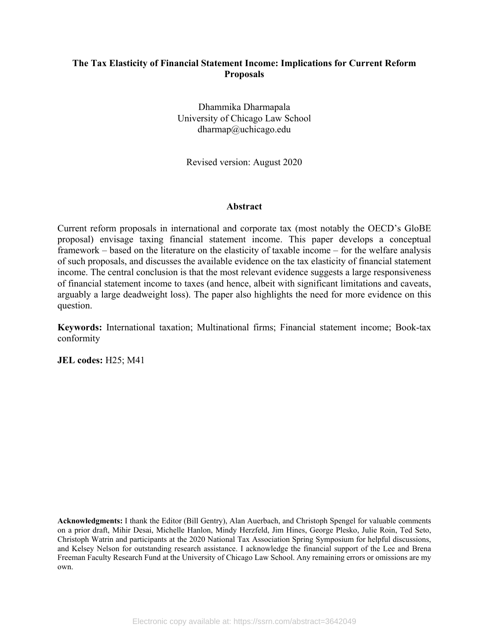#### **The Tax Elasticity of Financial Statement Income: Implications for Current Reform Proposals**

Dhammika Dharmapala University of Chicago Law School dharmap@uchicago.edu

Revised version: August 2020

#### **Abstract**

Current reform proposals in international and corporate tax (most notably the OECD's GloBE proposal) envisage taxing financial statement income. This paper develops a conceptual framework – based on the literature on the elasticity of taxable income – for the welfare analysis of such proposals, and discusses the available evidence on the tax elasticity of financial statement income. The central conclusion is that the most relevant evidence suggests a large responsiveness of financial statement income to taxes (and hence, albeit with significant limitations and caveats, arguably a large deadweight loss). The paper also highlights the need for more evidence on this question.

**Keywords:** International taxation; Multinational firms; Financial statement income; Book-tax conformity

**JEL codes:** H25; M41

**Acknowledgments:** I thank the Editor (Bill Gentry), Alan Auerbach, and Christoph Spengel for valuable comments on a prior draft, Mihir Desai, Michelle Hanlon, Mindy Herzfeld, Jim Hines, George Plesko, Julie Roin, Ted Seto, Christoph Watrin and participants at the 2020 National Tax Association Spring Symposium for helpful discussions, and Kelsey Nelson for outstanding research assistance. I acknowledge the financial support of the Lee and Brena Freeman Faculty Research Fund at the University of Chicago Law School. Any remaining errors or omissions are my own.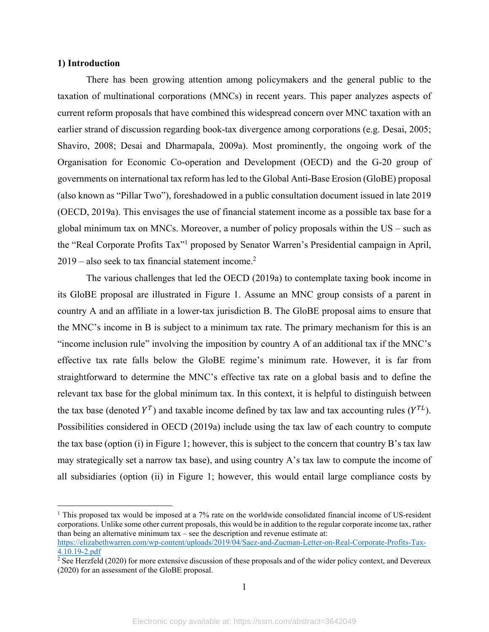#### **1) Introduction**

1

There has been growing attention among policymakers and the general public to the taxation of multinational corporations (MNCs) in recent years. This paper analyzes aspects of current reform proposals that have combined this widespread concern over MNC taxation with an earlier strand of discussion regarding book-tax divergence among corporations (e.g. Desai, 2005; Shaviro, 2008; Desai and Dharmapala, 2009a). Most prominently, the ongoing work of the Organisation for Economic Co-operation and Development (OECD) and the G-20 group of governments on international tax reform has led to the Global Anti-Base Erosion (GloBE) proposal (also known as "Pillar Two"), foreshadowed in a public consultation document issued in late 2019 (OECD, 2019a). This envisages the use of financial statement income as a possible tax base for a global minimum tax on MNCs. Moreover, a number of policy proposals within the US – such as the "Real Corporate Profits Tax"<sup>1</sup> proposed by Senator Warren's Presidential campaign in April,  $2019$  – also seek to tax financial statement income.<sup>2</sup>

The various challenges that led the OECD (2019a) to contemplate taxing book income in its GloBE proposal are illustrated in Figure 1. Assume an MNC group consists of a parent in country A and an affiliate in a lower-tax jurisdiction B. The GloBE proposal aims to ensure that the MNC's income in B is subject to a minimum tax rate. The primary mechanism for this is an "income inclusion rule" involving the imposition by country A of an additional tax if the MNC's effective tax rate falls below the GloBE regime's minimum rate. However, it is far from straightforward to determine the MNC's effective tax rate on a global basis and to define the relevant tax base for the global minimum tax. In this context, it is helpful to distinguish between the tax base (denoted  $Y^T$ ) and taxable income defined by tax law and tax accounting rules ( $Y^{TL}$ ). Possibilities considered in OECD (2019a) include using the tax law of each country to compute the tax base (option (i) in Figure 1; however, this is subject to the concern that country B's tax law may strategically set a narrow tax base), and using country A's tax law to compute the income of all subsidiaries (option (ii) in Figure 1; however, this would entail large compliance costs by

<sup>&</sup>lt;sup>1</sup> This proposed tax would be imposed at a 7% rate on the worldwide consolidated financial income of US-resident corporations. Unlike some other current proposals, this would be in addition to the regular corporate income tax, rather than being an alternative minimum tax – see the description and revenue estimate at:

https://elizabethwarren.com/wp-content/uploads/2019/04/Saez-and-Zucman-Letter-on-Real-Corporate-Profits-Tax-4.10.19-2.pdf

<sup>&</sup>lt;sup>2</sup> See Herzfeld (2020) for more extensive discussion of these proposals and of the wider policy context, and Devereux (2020) for an assessment of the GloBE proposal.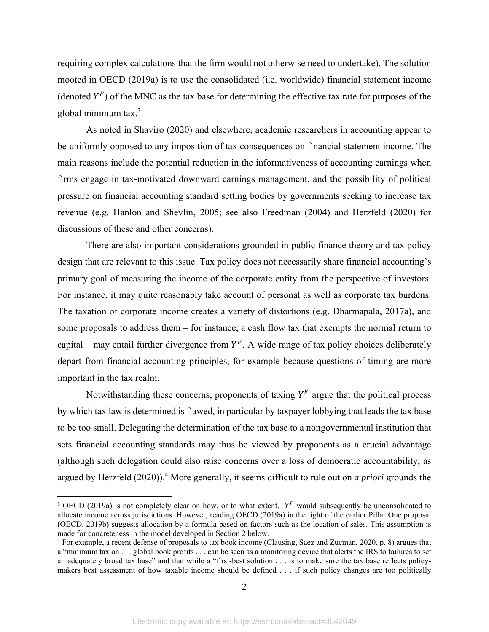requiring complex calculations that the firm would not otherwise need to undertake). The solution mooted in OECD (2019a) is to use the consolidated (i.e. worldwide) financial statement income (denoted  $Y^F$ ) of the MNC as the tax base for determining the effective tax rate for purposes of the global minimum tax.3

As noted in Shaviro (2020) and elsewhere, academic researchers in accounting appear to be uniformly opposed to any imposition of tax consequences on financial statement income. The main reasons include the potential reduction in the informativeness of accounting earnings when firms engage in tax-motivated downward earnings management, and the possibility of political pressure on financial accounting standard setting bodies by governments seeking to increase tax revenue (e.g. Hanlon and Shevlin, 2005; see also Freedman (2004) and Herzfeld (2020) for discussions of these and other concerns).

There are also important considerations grounded in public finance theory and tax policy design that are relevant to this issue. Tax policy does not necessarily share financial accounting's primary goal of measuring the income of the corporate entity from the perspective of investors. For instance, it may quite reasonably take account of personal as well as corporate tax burdens. The taxation of corporate income creates a variety of distortions (e.g. Dharmapala, 2017a), and some proposals to address them – for instance, a cash flow tax that exempts the normal return to capital – may entail further divergence from  $Y^F$ . A wide range of tax policy choices deliberately depart from financial accounting principles, for example because questions of timing are more important in the tax realm.

Notwithstanding these concerns, proponents of taxing  $Y^F$  argue that the political process by which tax law is determined is flawed, in particular by taxpayer lobbying that leads the tax base to be too small. Delegating the determination of the tax base to a nongovernmental institution that sets financial accounting standards may thus be viewed by proponents as a crucial advantage (although such delegation could also raise concerns over a loss of democratic accountability, as argued by Herzfeld (2020)).<sup>4</sup> More generally, it seems difficult to rule out on *a priori* grounds the

<sup>&</sup>lt;sup>3</sup> OECD (2019a) is not completely clear on how, or to what extent,  $Y^F$  would subsequently be unconsolidated to allocate income across jurisdictions. However, reading OECD (2019a) in the light of the earlier Pillar One proposal (OECD, 2019b) suggests allocation by a formula based on factors such as the location of sales. This assumption is made for concreteness in the model developed in Section 2 below. 4

For example, a recent defense of proposals to tax book income (Clausing, Saez and Zucman, 2020, p. 8) argues that a "minimum tax on . . . global book profits . . . can be seen as a monitoring device that alerts the IRS to failures to set an adequately broad tax base" and that while a "first-best solution . . . is to make sure the tax base reflects policymakers best assessment of how taxable income should be defined . . . if such policy changes are too politically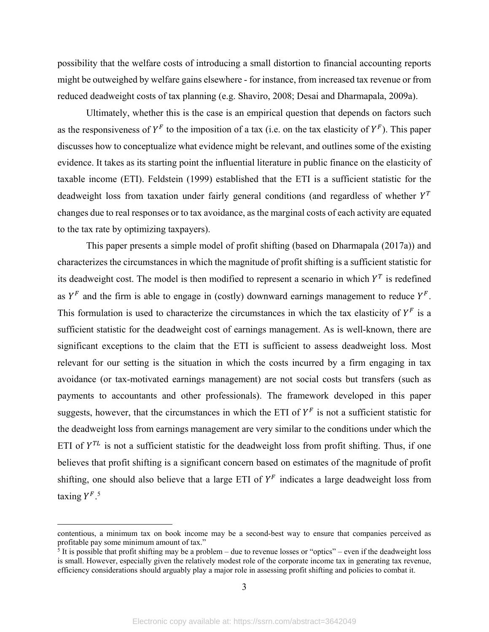possibility that the welfare costs of introducing a small distortion to financial accounting reports might be outweighed by welfare gains elsewhere - for instance, from increased tax revenue or from reduced deadweight costs of tax planning (e.g. Shaviro, 2008; Desai and Dharmapala, 2009a).

Ultimately, whether this is the case is an empirical question that depends on factors such as the responsiveness of  $Y^F$  to the imposition of a tax (i.e. on the tax elasticity of  $Y^F$ ). This paper discusses how to conceptualize what evidence might be relevant, and outlines some of the existing evidence. It takes as its starting point the influential literature in public finance on the elasticity of taxable income (ETI). Feldstein (1999) established that the ETI is a sufficient statistic for the deadweight loss from taxation under fairly general conditions (and regardless of whether  $Y<sup>T</sup>$ changes due to real responses or to tax avoidance, as the marginal costs of each activity are equated to the tax rate by optimizing taxpayers).

This paper presents a simple model of profit shifting (based on Dharmapala (2017a)) and characterizes the circumstances in which the magnitude of profit shifting is a sufficient statistic for its deadweight cost. The model is then modified to represent a scenario in which  $Y<sup>T</sup>$  is redefined as  $Y^F$  and the firm is able to engage in (costly) downward earnings management to reduce  $Y^F$ . This formulation is used to characterize the circumstances in which the tax elasticity of  $Y^F$  is a sufficient statistic for the deadweight cost of earnings management. As is well-known, there are significant exceptions to the claim that the ETI is sufficient to assess deadweight loss. Most relevant for our setting is the situation in which the costs incurred by a firm engaging in tax avoidance (or tax-motivated earnings management) are not social costs but transfers (such as payments to accountants and other professionals). The framework developed in this paper suggests, however, that the circumstances in which the ETI of  $Y^F$  is not a sufficient statistic for the deadweight loss from earnings management are very similar to the conditions under which the ETI of  $Y^{TL}$  is not a sufficient statistic for the deadweight loss from profit shifting. Thus, if one believes that profit shifting is a significant concern based on estimates of the magnitude of profit shifting, one should also believe that a large ETI of  $Y^F$  indicates a large deadweight loss from taxing  $Y^F$ .<sup>5</sup>

 $\overline{a}$ 

contentious, a minimum tax on book income may be a second-best way to ensure that companies perceived as profitable pay some minimum amount of tax."

<sup>&</sup>lt;sup>5</sup> It is possible that profit shifting may be a problem – due to revenue losses or "optics" – even if the deadweight loss is small. However, especially given the relatively modest role of the corporate income tax in generating tax revenue, efficiency considerations should arguably play a major role in assessing profit shifting and policies to combat it.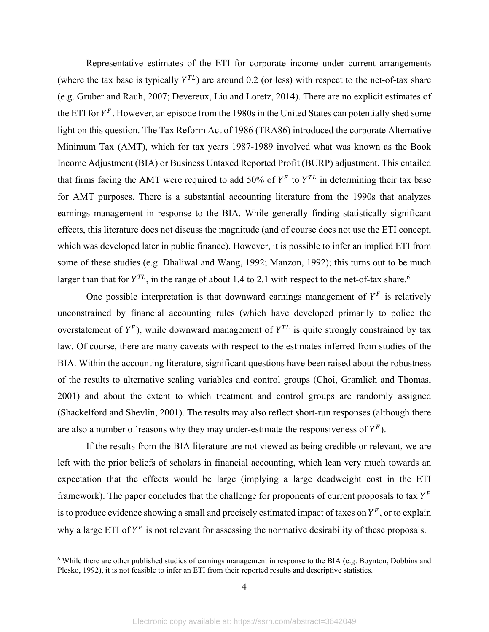Representative estimates of the ETI for corporate income under current arrangements (where the tax base is typically  $Y^{TL}$ ) are around 0.2 (or less) with respect to the net-of-tax share (e.g. Gruber and Rauh, 2007; Devereux, Liu and Loretz, 2014). There are no explicit estimates of the ETI for  $Y^F$ . However, an episode from the 1980s in the United States can potentially shed some light on this question. The Tax Reform Act of 1986 (TRA86) introduced the corporate Alternative Minimum Tax (AMT), which for tax years 1987-1989 involved what was known as the Book Income Adjustment (BIA) or Business Untaxed Reported Profit (BURP) adjustment. This entailed that firms facing the AMT were required to add 50% of  $Y^F$  to  $Y^{TL}$  in determining their tax base for AMT purposes. There is a substantial accounting literature from the 1990s that analyzes earnings management in response to the BIA. While generally finding statistically significant effects, this literature does not discuss the magnitude (and of course does not use the ETI concept, which was developed later in public finance). However, it is possible to infer an implied ETI from some of these studies (e.g. Dhaliwal and Wang, 1992; Manzon, 1992); this turns out to be much larger than that for  $Y^{TL}$ , in the range of about 1.4 to 2.1 with respect to the net-of-tax share.<sup>6</sup>

One possible interpretation is that downward earnings management of  $Y^F$  is relatively unconstrained by financial accounting rules (which have developed primarily to police the overstatement of  $Y^F$ ), while downward management of  $Y^{TL}$  is quite strongly constrained by tax law. Of course, there are many caveats with respect to the estimates inferred from studies of the BIA. Within the accounting literature, significant questions have been raised about the robustness of the results to alternative scaling variables and control groups (Choi, Gramlich and Thomas, 2001) and about the extent to which treatment and control groups are randomly assigned (Shackelford and Shevlin, 2001). The results may also reflect short-run responses (although there are also a number of reasons why they may under-estimate the responsiveness of  $Y^F$ ).

If the results from the BIA literature are not viewed as being credible or relevant, we are left with the prior beliefs of scholars in financial accounting, which lean very much towards an expectation that the effects would be large (implying a large deadweight cost in the ETI framework). The paper concludes that the challenge for proponents of current proposals to tax  $Y^F$ is to produce evidence showing a small and precisely estimated impact of taxes on  $Y^F$ , or to explain why a large ETI of  $Y^F$  is not relevant for assessing the normative desirability of these proposals.

<sup>&</sup>lt;sup>6</sup> While there are other published studies of earnings management in response to the BIA (e.g. Boynton, Dobbins and Plesko, 1992), it is not feasible to infer an ETI from their reported results and descriptive statistics.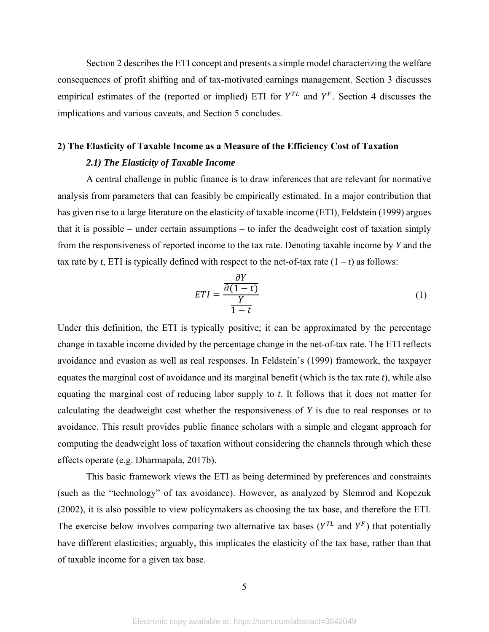Section 2 describes the ETI concept and presents a simple model characterizing the welfare consequences of profit shifting and of tax-motivated earnings management. Section 3 discusses empirical estimates of the (reported or implied) ETI for  $Y^{TL}$  and  $Y^F$ . Section 4 discusses the implications and various caveats, and Section 5 concludes.

### **2) The Elasticity of Taxable Income as a Measure of the Efficiency Cost of Taxation**  *2.1) The Elasticity of Taxable Income*

A central challenge in public finance is to draw inferences that are relevant for normative analysis from parameters that can feasibly be empirically estimated. In a major contribution that has given rise to a large literature on the elasticity of taxable income (ETI), Feldstein (1999) argues that it is possible – under certain assumptions – to infer the deadweight cost of taxation simply from the responsiveness of reported income to the tax rate. Denoting taxable income by *Y* and the tax rate by *t*, ETI is typically defined with respect to the net-of-tax rate  $(1 - t)$  as follows:

$$
ETI = \frac{\frac{\partial Y}{\partial (1-t)}}{\frac{Y}{1-t}}
$$
 (1)

Under this definition, the ETI is typically positive; it can be approximated by the percentage change in taxable income divided by the percentage change in the net-of-tax rate. The ETI reflects avoidance and evasion as well as real responses. In Feldstein's (1999) framework, the taxpayer equates the marginal cost of avoidance and its marginal benefit (which is the tax rate *t*), while also equating the marginal cost of reducing labor supply to *t*. It follows that it does not matter for calculating the deadweight cost whether the responsiveness of *Y* is due to real responses or to avoidance. This result provides public finance scholars with a simple and elegant approach for computing the deadweight loss of taxation without considering the channels through which these effects operate (e.g. Dharmapala, 2017b).

This basic framework views the ETI as being determined by preferences and constraints (such as the "technology" of tax avoidance). However, as analyzed by Slemrod and Kopczuk (2002), it is also possible to view policymakers as choosing the tax base, and therefore the ETI. The exercise below involves comparing two alternative tax bases ( $Y^{TL}$  and  $Y^F$ ) that potentially have different elasticities; arguably, this implicates the elasticity of the tax base, rather than that of taxable income for a given tax base.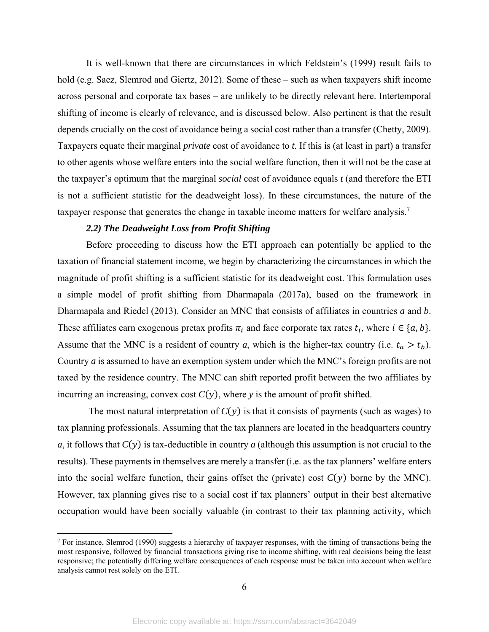It is well-known that there are circumstances in which Feldstein's (1999) result fails to hold (e.g. Saez, Slemrod and Giertz, 2012). Some of these – such as when taxpayers shift income across personal and corporate tax bases – are unlikely to be directly relevant here. Intertemporal shifting of income is clearly of relevance, and is discussed below. Also pertinent is that the result depends crucially on the cost of avoidance being a social cost rather than a transfer (Chetty, 2009). Taxpayers equate their marginal *private* cost of avoidance to *t.* If this is (at least in part) a transfer to other agents whose welfare enters into the social welfare function, then it will not be the case at the taxpayer's optimum that the marginal *social* cost of avoidance equals *t* (and therefore the ETI is not a sufficient statistic for the deadweight loss). In these circumstances, the nature of the taxpayer response that generates the change in taxable income matters for welfare analysis.<sup>7</sup>

#### *2.2) The Deadweight Loss from Profit Shifting*

 $\overline{a}$ 

Before proceeding to discuss how the ETI approach can potentially be applied to the taxation of financial statement income, we begin by characterizing the circumstances in which the magnitude of profit shifting is a sufficient statistic for its deadweight cost. This formulation uses a simple model of profit shifting from Dharmapala (2017a), based on the framework in Dharmapala and Riedel (2013). Consider an MNC that consists of affiliates in countries *a* and *b*. These affiliates earn exogenous pretax profits  $\pi_i$  and face corporate tax rates  $t_i$ , where  $i \in \{a, b\}$ . Assume that the MNC is a resident of country *a*, which is the higher-tax country (i.e.  $t_a > t_b$ ). Country *a* is assumed to have an exemption system under which the MNC's foreign profits are not taxed by the residence country. The MNC can shift reported profit between the two affiliates by incurring an increasing, convex cost  $C(y)$ , where *y* is the amount of profit shifted.

The most natural interpretation of  $C(y)$  is that it consists of payments (such as wages) to tax planning professionals. Assuming that the tax planners are located in the headquarters country *a*, it follows that  $C(y)$  is tax-deductible in country *a* (although this assumption is not crucial to the results). These payments in themselves are merely a transfer (i.e. as the tax planners' welfare enters into the social welfare function, their gains offset the (private) cost  $C(y)$  borne by the MNC). However, tax planning gives rise to a social cost if tax planners' output in their best alternative occupation would have been socially valuable (in contrast to their tax planning activity, which

<sup>&</sup>lt;sup>7</sup> For instance, Slemrod (1990) suggests a hierarchy of taxpayer responses, with the timing of transactions being the most responsive, followed by financial transactions giving rise to income shifting, with real decisions being the least responsive; the potentially differing welfare consequences of each response must be taken into account when welfare analysis cannot rest solely on the ETI.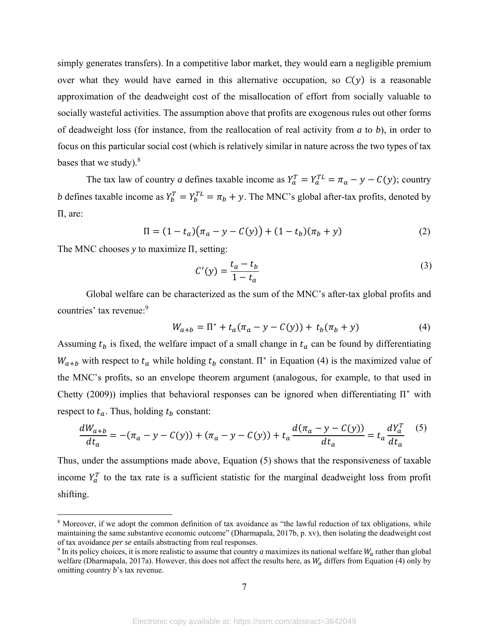simply generates transfers). In a competitive labor market, they would earn a negligible premium over what they would have earned in this alternative occupation, so  $C(y)$  is a reasonable approximation of the deadweight cost of the misallocation of effort from socially valuable to socially wasteful activities. The assumption above that profits are exogenous rules out other forms of deadweight loss (for instance, from the reallocation of real activity from *a* to *b*), in order to focus on this particular social cost (which is relatively similar in nature across the two types of tax bases that we study). $8$ 

The tax law of country *a* defines taxable income as  $Y_a^T = Y_a^{TL} = \pi_a - y - C(y)$ ; country *b* defines taxable income as  $Y_b^T = Y_b^{TL} = \pi_b + y$ . The MNC's global after-tax profits, denoted by Π, are:

$$
\Pi = (1 - t_a)(\pi_a - y - C(y)) + (1 - t_b)(\pi_b + y) \tag{2}
$$

The MNC chooses *y* to maximize Π, setting:

 $\overline{a}$ 

$$
C'(y) = \frac{t_a - t_b}{1 - t_a} \tag{3}
$$

 Global welfare can be characterized as the sum of the MNC's after-tax global profits and countries' tax revenue:<sup>9</sup>

$$
W_{a+b} = \Pi^* + t_a(\pi_a - y - C(y)) + t_b(\pi_b + y)
$$
 (4)

Assuming  $t_b$  is fixed, the welfare impact of a small change in  $t_a$  can be found by differentiating  $W_{a+b}$  with respect to  $t_a$  while holding  $t_b$  constant.  $\Pi^*$  in Equation (4) is the maximized value of the MNC's profits, so an envelope theorem argument (analogous, for example, to that used in Chetty (2009)) implies that behavioral responses can be ignored when differentiating  $\Pi^*$  with respect to  $t_a$ . Thus, holding  $t_b$  constant:

$$
\frac{dW_{a+b}}{dt_a} = -(\pi_a - y - C(y)) + (\pi_a - y - C(y)) + t_a \frac{d(\pi_a - y - C(y))}{dt_a} = t_a \frac{dY_a^T}{dt_a}
$$
(5)

Thus, under the assumptions made above, Equation (5) shows that the responsiveness of taxable income  $Y_a^T$  to the tax rate is a sufficient statistic for the marginal deadweight loss from profit shifting.

<sup>&</sup>lt;sup>8</sup> Moreover, if we adopt the common definition of tax avoidance as "the lawful reduction of tax obligations, while maintaining the same substantive economic outcome" (Dharmapala, 2017b, p. xv), then isolating the deadweight cost of tax avoidance *per se* entails abstracting from real responses.

 $9$  In its policy choices, it is more realistic to assume that country *a* maximizes its national welfare  $W_a$  rather than global welfare (Dharmapala, 2017a). However, this does not affect the results here, as  $W_a$  differs from Equation (4) only by omitting country *b*'s tax revenue.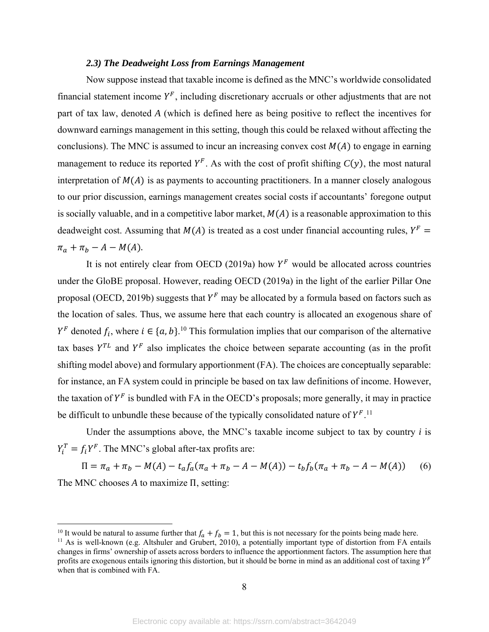#### *2.3) The Deadweight Loss from Earnings Management*

 Now suppose instead that taxable income is defined as the MNC's worldwide consolidated financial statement income  $Y^F$ , including discretionary accruals or other adjustments that are not part of tax law, denoted *A* (which is defined here as being positive to reflect the incentives for downward earnings management in this setting, though this could be relaxed without affecting the conclusions). The MNC is assumed to incur an increasing convex cost  $M(A)$  to engage in earning management to reduce its reported  $Y^F$ . As with the cost of profit shifting  $C(y)$ , the most natural interpretation of  $M(A)$  is as payments to accounting practitioners. In a manner closely analogous to our prior discussion, earnings management creates social costs if accountants' foregone output is socially valuable, and in a competitive labor market,  $M(A)$  is a reasonable approximation to this deadweight cost. Assuming that  $M(A)$  is treated as a cost under financial accounting rules,  $Y^F =$  $\pi_a + \pi_b - A - M(A)$ .

It is not entirely clear from OECD (2019a) how  $Y^F$  would be allocated across countries under the GloBE proposal. However, reading OECD (2019a) in the light of the earlier Pillar One proposal (OECD, 2019b) suggests that  $Y^F$  may be allocated by a formula based on factors such as the location of sales. Thus, we assume here that each country is allocated an exogenous share of  $Y^F$  denoted  $f_i$ , where  $i \in \{a, b\}$ .<sup>10</sup> This formulation implies that our comparison of the alternative tax bases  $Y^{TL}$  and  $Y^F$  also implicates the choice between separate accounting (as in the profit shifting model above) and formulary apportionment (FA). The choices are conceptually separable: for instance, an FA system could in principle be based on tax law definitions of income. However, the taxation of  $Y^F$  is bundled with FA in the OECD's proposals; more generally, it may in practice be difficult to unbundle these because of the typically consolidated nature of  $Y^{F}$ .<sup>11</sup>

Under the assumptions above, the MNC's taxable income subject to tax by country *i* is  $Y_i^T = f_i Y^F$ . The MNC's global after-tax profits are:

 $\Pi = \pi_a + \pi_b - M(A) - t_a f_a (\pi_a + \pi_b - A - M(A)) - t_b f_b (\pi_a + \pi_b - A - M(A))$  (6) The MNC chooses *A* to maximize Π, setting:

<sup>&</sup>lt;sup>10</sup> It would be natural to assume further that  $f_a + f_b = 1$ , but this is not necessary for the points being made here.

<sup>&</sup>lt;sup>11</sup> As is well-known (e.g. Altshuler and Grubert, 2010), a potentially important type of distortion from FA entails changes in firms' ownership of assets across borders to influence the apportionment factors. The assumption here that profits are exogenous entails ignoring this distortion, but it should be borne in mind as an additional cost of taxing  $Y^F$ when that is combined with FA.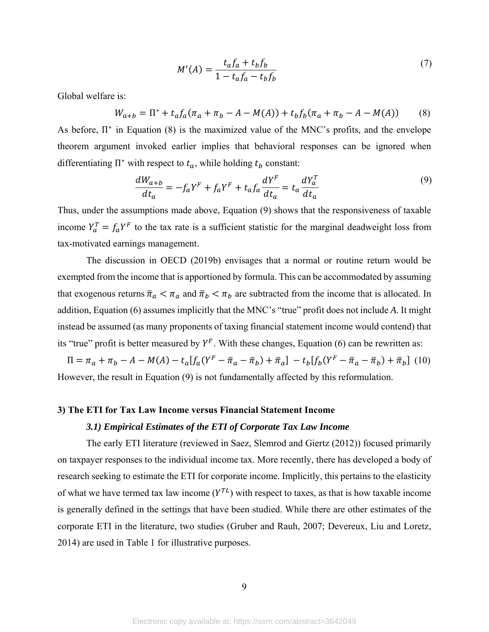$$
M'(A) = \frac{t_a f_a + t_b f_b}{1 - t_a f_a - t_b f_b}
$$
 (7)

Global welfare is:

$$
W_{a+b} = \Pi^* + t_a f_a (\pi_a + \pi_b - A - M(A)) + t_b f_b (\pi_a + \pi_b - A - M(A)) \tag{8}
$$

As before,  $\Pi^*$  in Equation (8) is the maximized value of the MNC's profits, and the envelope theorem argument invoked earlier implies that behavioral responses can be ignored when differentiating  $\Pi^*$  with respect to  $t_a$ , while holding  $t_b$  constant:

$$
\frac{dW_{a+b}}{dt_a} = -f_a Y^F + f_a Y^F + t_a f_a \frac{dY^F}{dt_a} = t_a \frac{dY^T_a}{dt_a}
$$
\n<sup>(9)</sup>

Thus, under the assumptions made above, Equation (9) shows that the responsiveness of taxable income  $Y_a^T = f_a Y^F$  to the tax rate is a sufficient statistic for the marginal deadweight loss from tax-motivated earnings management.

The discussion in OECD (2019b) envisages that a normal or routine return would be exempted from the income that is apportioned by formula. This can be accommodated by assuming that exogenous returns  $\bar{\pi}_a < \pi_a$  and  $\bar{\pi}_b < \pi_b$  are subtracted from the income that is allocated. In addition, Equation (6) assumes implicitly that the MNC's "true" profit does not include *A*. It might instead be assumed (as many proponents of taxing financial statement income would contend) that its "true" profit is better measured by  $Y^F$ . With these changes, Equation (6) can be rewritten as:

 $\Pi = \pi_a + \pi_b - A - M(A) - t_a[f_a(Y^F - \bar{\pi}_a - \bar{\pi}_b) + \bar{\pi}_a] - t_b[f_b(Y^F - \bar{\pi}_a - \bar{\pi}_b) + \bar{\pi}_b]$  (10) However, the result in Equation (9) is not fundamentally affected by this reformulation.

## **3) The ETI for Tax Law Income versus Financial Statement Income**

#### *3.1) Empirical Estimates of the ETI of Corporate Tax Law Income*

The early ETI literature (reviewed in Saez, Slemrod and Giertz (2012)) focused primarily on taxpayer responses to the individual income tax. More recently, there has developed a body of research seeking to estimate the ETI for corporate income. Implicitly, this pertains to the elasticity of what we have termed tax law income  $(Y^{TL})$  with respect to taxes, as that is how taxable income is generally defined in the settings that have been studied. While there are other estimates of the corporate ETI in the literature, two studies (Gruber and Rauh, 2007; Devereux, Liu and Loretz, 2014) are used in Table 1 for illustrative purposes.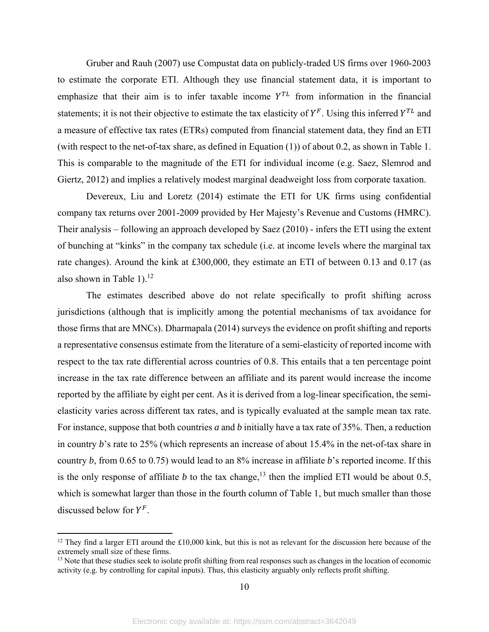Gruber and Rauh (2007) use Compustat data on publicly-traded US firms over 1960-2003 to estimate the corporate ETI. Although they use financial statement data, it is important to emphasize that their aim is to infer taxable income  $Y^{TL}$  from information in the financial statements; it is not their objective to estimate the tax elasticity of  $Y^F$ . Using this inferred  $Y^{TL}$  and a measure of effective tax rates (ETRs) computed from financial statement data, they find an ETI (with respect to the net-of-tax share, as defined in Equation (1)) of about 0.2, as shown in Table 1. This is comparable to the magnitude of the ETI for individual income (e.g. Saez, Slemrod and Giertz, 2012) and implies a relatively modest marginal deadweight loss from corporate taxation.

Devereux, Liu and Loretz (2014) estimate the ETI for UK firms using confidential company tax returns over 2001-2009 provided by Her Majesty's Revenue and Customs (HMRC). Their analysis – following an approach developed by Saez (2010) - infers the ETI using the extent of bunching at "kinks" in the company tax schedule (i.e. at income levels where the marginal tax rate changes). Around the kink at £300,000, they estimate an ETI of between 0.13 and 0.17 (as also shown in Table 1). $^{12}$ 

The estimates described above do not relate specifically to profit shifting across jurisdictions (although that is implicitly among the potential mechanisms of tax avoidance for those firms that are MNCs). Dharmapala (2014) surveys the evidence on profit shifting and reports a representative consensus estimate from the literature of a semi-elasticity of reported income with respect to the tax rate differential across countries of 0.8. This entails that a ten percentage point increase in the tax rate difference between an affiliate and its parent would increase the income reported by the affiliate by eight per cent. As it is derived from a log-linear specification, the semielasticity varies across different tax rates, and is typically evaluated at the sample mean tax rate. For instance, suppose that both countries *a* and *b* initially have a tax rate of 35%. Then, a reduction in country *b*'s rate to 25% (which represents an increase of about 15.4% in the net-of-tax share in country *b*, from 0.65 to 0.75) would lead to an 8% increase in affiliate *b*'s reported income. If this is the only response of affiliate *b* to the tax change,<sup>13</sup> then the implied ETI would be about 0.5, which is somewhat larger than those in the fourth column of Table 1, but much smaller than those discussed below for  $Y^F$ .

 $\overline{a}$ 

 $12$  They find a larger ETI around the £10,000 kink, but this is not as relevant for the discussion here because of the extremely small size of these firms.

<sup>&</sup>lt;sup>13</sup> Note that these studies seek to isolate profit shifting from real responses such as changes in the location of economic activity (e.g. by controlling for capital inputs). Thus, this elasticity arguably only reflects profit shifting.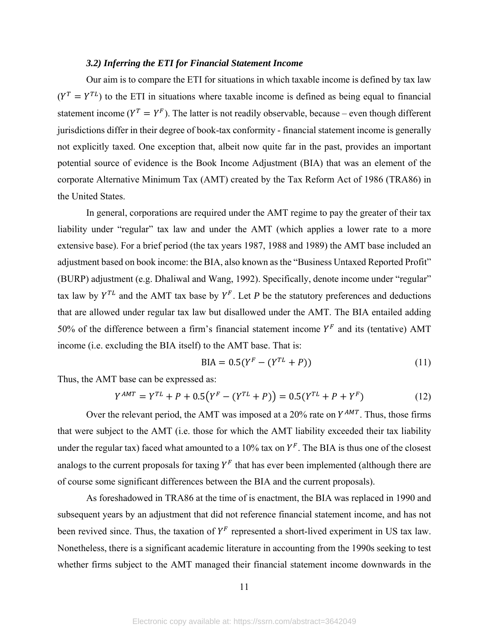#### *3.2) Inferring the ETI for Financial Statement Income*

Our aim is to compare the ETI for situations in which taxable income is defined by tax law  $(Y^T = Y^{TL})$  to the ETI in situations where taxable income is defined as being equal to financial statement income ( $Y^T = Y^F$ ). The latter is not readily observable, because – even though different jurisdictions differ in their degree of book-tax conformity - financial statement income is generally not explicitly taxed. One exception that, albeit now quite far in the past, provides an important potential source of evidence is the Book Income Adjustment (BIA) that was an element of the corporate Alternative Minimum Tax (AMT) created by the Tax Reform Act of 1986 (TRA86) in the United States.

In general, corporations are required under the AMT regime to pay the greater of their tax liability under "regular" tax law and under the AMT (which applies a lower rate to a more extensive base). For a brief period (the tax years 1987, 1988 and 1989) the AMT base included an adjustment based on book income: the BIA, also known as the "Business Untaxed Reported Profit" (BURP) adjustment (e.g. Dhaliwal and Wang, 1992). Specifically, denote income under "regular" tax law by  $Y^{TL}$  and the AMT tax base by  $Y^F$ . Let *P* be the statutory preferences and deductions that are allowed under regular tax law but disallowed under the AMT. The BIA entailed adding 50% of the difference between a firm's financial statement income  $Y^F$  and its (tentative) AMT income (i.e. excluding the BIA itself) to the AMT base. That is:

$$
BIA = 0.5(Y^F - (Y^{TL} + P))
$$
\n(11)

Thus, the AMT base can be expressed as:

$$
Y^{AMT} = Y^{TL} + P + 0.5(Y^{F} - (Y^{TL} + P)) = 0.5(Y^{TL} + P + Y^{F})
$$
\n(12)

Over the relevant period, the AMT was imposed at a 20% rate on  $Y^{AMT}$ . Thus, those firms that were subject to the AMT (i.e. those for which the AMT liability exceeded their tax liability under the regular tax) faced what amounted to a 10% tax on  $Y^F$ . The BIA is thus one of the closest analogs to the current proposals for taxing  $Y^F$  that has ever been implemented (although there are of course some significant differences between the BIA and the current proposals).

 As foreshadowed in TRA86 at the time of is enactment, the BIA was replaced in 1990 and subsequent years by an adjustment that did not reference financial statement income, and has not been revived since. Thus, the taxation of  $Y^F$  represented a short-lived experiment in US tax law. Nonetheless, there is a significant academic literature in accounting from the 1990s seeking to test whether firms subject to the AMT managed their financial statement income downwards in the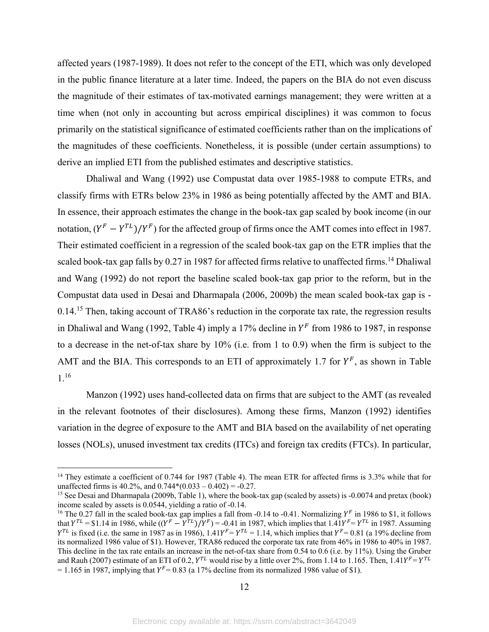affected years (1987-1989). It does not refer to the concept of the ETI, which was only developed in the public finance literature at a later time. Indeed, the papers on the BIA do not even discuss the magnitude of their estimates of tax-motivated earnings management; they were written at a time when (not only in accounting but across empirical disciplines) it was common to focus primarily on the statistical significance of estimated coefficients rather than on the implications of the magnitudes of these coefficients. Nonetheless, it is possible (under certain assumptions) to derive an implied ETI from the published estimates and descriptive statistics.

 Dhaliwal and Wang (1992) use Compustat data over 1985-1988 to compute ETRs, and classify firms with ETRs below 23% in 1986 as being potentially affected by the AMT and BIA. In essence, their approach estimates the change in the book-tax gap scaled by book income (in our notation,  $(Y^F - Y^{TL})/Y^F$  for the affected group of firms once the AMT comes into effect in 1987. Their estimated coefficient in a regression of the scaled book-tax gap on the ETR implies that the scaled book-tax gap falls by  $0.27$  in 1987 for affected firms relative to unaffected firms.<sup>14</sup> Dhaliwal and Wang (1992) do not report the baseline scaled book-tax gap prior to the reform, but in the Compustat data used in Desai and Dharmapala (2006, 2009b) the mean scaled book-tax gap is - 0.14.<sup>15</sup> Then, taking account of TRA86's reduction in the corporate tax rate, the regression results in Dhaliwal and Wang (1992, Table 4) imply a 17% decline in  $Y^F$  from 1986 to 1987, in response to a decrease in the net-of-tax share by 10% (i.e. from 1 to 0.9) when the firm is subject to the AMT and the BIA. This corresponds to an ETI of approximately 1.7 for  $Y^F$ , as shown in Table 1.16

 Manzon (1992) uses hand-collected data on firms that are subject to the AMT (as revealed in the relevant footnotes of their disclosures). Among these firms, Manzon (1992) identifies variation in the degree of exposure to the AMT and BIA based on the availability of net operating losses (NOLs), unused investment tax credits (ITCs) and foreign tax credits (FTCs). In particular,

<sup>&</sup>lt;sup>14</sup> They estimate a coefficient of 0.744 for 1987 (Table 4). The mean ETR for affected firms is 3.3% while that for unaffected firms is 40.2%, and  $0.744*(0.033 - 0.402) = -0.27$ .

<sup>&</sup>lt;sup>15</sup> See Desai and Dharmapala (2009b, Table 1), where the book-tax gap (scaled by assets) is -0.0074 and pretax (book) income scaled by assets is 0.0544, yielding a ratio of -0.14.

<sup>&</sup>lt;sup>16</sup> The 0.27 fall in the scaled book-tax gap implies a fall from -0.14 to -0.41. Normalizing  $Y^F$  in 1986 to \$1, it follows that  $Y^{TL} = $1.14$  in 1986, while  $((Y^F - Y^{TL})/Y^F) = -0.41$  in 1987, which implies that  $1.41Y^F = Y^{TL}$  in 1987. Assuming  $Y^{TL}$  is fixed (i.e. the same in 1987 as in 1986),  $1.41Y^{F} = Y^{TL} = 1.14$ , which implies that  $Y^{F} = 0.81$  (a 19% decline from its normalized 1986 value of \$1). However, TRA86 reduced the corporate tax rate from 46% in 1986 to 40% in 1987. This decline in the tax rate entails an increase in the net-of-tax share from 0.54 to 0.6 (i.e. by 11%). Using the Gruber and Rauh (2007) estimate of an ETI of 0.2,  $Y^{TL}$  would rise by a little over 2%, from 1.14 to 1.165. Then, 1.41 $Y^{F} = Y^{TL}$ = 1.165 in 1987, implying that  $Y^F$  = 0.83 (a 17% decline from its normalized 1986 value of \$1).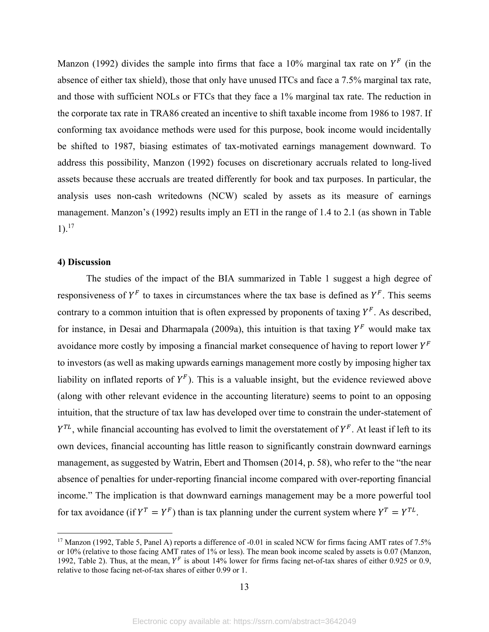Manzon (1992) divides the sample into firms that face a 10% marginal tax rate on  $Y^F$  (in the absence of either tax shield), those that only have unused ITCs and face a 7.5% marginal tax rate, and those with sufficient NOLs or FTCs that they face a 1% marginal tax rate. The reduction in the corporate tax rate in TRA86 created an incentive to shift taxable income from 1986 to 1987. If conforming tax avoidance methods were used for this purpose, book income would incidentally be shifted to 1987, biasing estimates of tax-motivated earnings management downward. To address this possibility, Manzon (1992) focuses on discretionary accruals related to long-lived assets because these accruals are treated differently for book and tax purposes. In particular, the analysis uses non-cash writedowns (NCW) scaled by assets as its measure of earnings management. Manzon's (1992) results imply an ETI in the range of 1.4 to 2.1 (as shown in Table  $1$ ).<sup>17</sup>

#### **4) Discussion**

1

The studies of the impact of the BIA summarized in Table 1 suggest a high degree of responsiveness of  $Y^F$  to taxes in circumstances where the tax base is defined as  $Y^F$ . This seems contrary to a common intuition that is often expressed by proponents of taxing  $Y^F$ . As described, for instance, in Desai and Dharmapala (2009a), this intuition is that taxing  $Y^F$  would make tax avoidance more costly by imposing a financial market consequence of having to report lower  $Y^F$ to investors (as well as making upwards earnings management more costly by imposing higher tax liability on inflated reports of  $Y^F$ ). This is a valuable insight, but the evidence reviewed above (along with other relevant evidence in the accounting literature) seems to point to an opposing intuition, that the structure of tax law has developed over time to constrain the under-statement of  $Y^{TL}$ , while financial accounting has evolved to limit the overstatement of  $Y^F$ . At least if left to its own devices, financial accounting has little reason to significantly constrain downward earnings management, as suggested by Watrin, Ebert and Thomsen (2014, p. 58), who refer to the "the near absence of penalties for under-reporting financial income compared with over-reporting financial income." The implication is that downward earnings management may be a more powerful tool for tax avoidance (if  $Y^T = Y^F$ ) than is tax planning under the current system where  $Y^T = Y^{TL}$ .

<sup>&</sup>lt;sup>17</sup> Manzon (1992, Table 5, Panel A) reports a difference of -0.01 in scaled NCW for firms facing AMT rates of 7.5% or 10% (relative to those facing AMT rates of 1% or less). The mean book income scaled by assets is 0.07 (Manzon, 1992, Table 2). Thus, at the mean,  $Y^F$  is about 14% lower for firms facing net-of-tax shares of either 0.925 or 0.9, relative to those facing net-of-tax shares of either 0.99 or 1.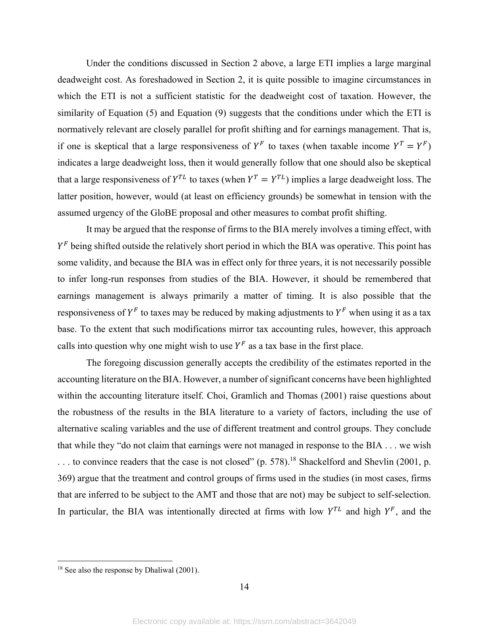Under the conditions discussed in Section 2 above, a large ETI implies a large marginal deadweight cost. As foreshadowed in Section 2, it is quite possible to imagine circumstances in which the ETI is not a sufficient statistic for the deadweight cost of taxation. However, the similarity of Equation (5) and Equation (9) suggests that the conditions under which the ETI is normatively relevant are closely parallel for profit shifting and for earnings management. That is, if one is skeptical that a large responsiveness of  $Y^F$  to taxes (when taxable income  $Y^T = Y^F$ ) indicates a large deadweight loss, then it would generally follow that one should also be skeptical that a large responsiveness of  $Y^{TL}$  to taxes (when  $Y^{T} = Y^{TL}$ ) implies a large deadweight loss. The latter position, however, would (at least on efficiency grounds) be somewhat in tension with the assumed urgency of the GloBE proposal and other measures to combat profit shifting.

It may be argued that the response of firms to the BIA merely involves a timing effect, with  $Y<sup>F</sup>$  being shifted outside the relatively short period in which the BIA was operative. This point has some validity, and because the BIA was in effect only for three years, it is not necessarily possible to infer long-run responses from studies of the BIA. However, it should be remembered that earnings management is always primarily a matter of timing. It is also possible that the responsiveness of  $Y^F$  to taxes may be reduced by making adjustments to  $Y^F$  when using it as a tax base. To the extent that such modifications mirror tax accounting rules, however, this approach calls into question why one might wish to use  $Y^F$  as a tax base in the first place.

The foregoing discussion generally accepts the credibility of the estimates reported in the accounting literature on the BIA. However, a number of significant concerns have been highlighted within the accounting literature itself. Choi, Gramlich and Thomas (2001) raise questions about the robustness of the results in the BIA literature to a variety of factors, including the use of alternative scaling variables and the use of different treatment and control groups. They conclude that while they "do not claim that earnings were not managed in response to the BIA . . . we wish  $\dots$  to convince readers that the case is not closed" (p. 578).<sup>18</sup> Shackelford and Shevlin (2001, p. 369) argue that the treatment and control groups of firms used in the studies (in most cases, firms that are inferred to be subject to the AMT and those that are not) may be subject to self-selection. In particular, the BIA was intentionally directed at firms with low  $Y^{TL}$  and high  $Y^F$ , and the

<sup>&</sup>lt;sup>18</sup> See also the response by Dhaliwal (2001).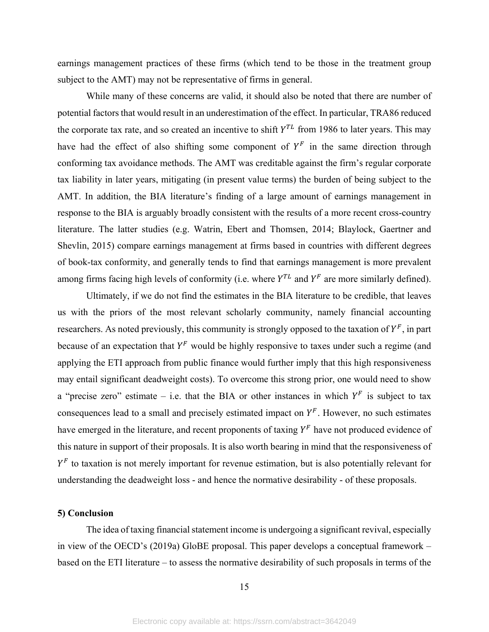earnings management practices of these firms (which tend to be those in the treatment group subject to the AMT) may not be representative of firms in general.

While many of these concerns are valid, it should also be noted that there are number of potential factors that would result in an underestimation of the effect. In particular, TRA86 reduced the corporate tax rate, and so created an incentive to shift  $Y^{TL}$  from 1986 to later years. This may have had the effect of also shifting some component of  $Y^F$  in the same direction through conforming tax avoidance methods. The AMT was creditable against the firm's regular corporate tax liability in later years, mitigating (in present value terms) the burden of being subject to the AMT. In addition, the BIA literature's finding of a large amount of earnings management in response to the BIA is arguably broadly consistent with the results of a more recent cross-country literature. The latter studies (e.g. Watrin, Ebert and Thomsen, 2014; Blaylock, Gaertner and Shevlin, 2015) compare earnings management at firms based in countries with different degrees of book-tax conformity, and generally tends to find that earnings management is more prevalent among firms facing high levels of conformity (i.e. where  $Y^{TL}$  and  $Y^F$  are more similarly defined).

 Ultimately, if we do not find the estimates in the BIA literature to be credible, that leaves us with the priors of the most relevant scholarly community, namely financial accounting researchers. As noted previously, this community is strongly opposed to the taxation of  $Y^F$ , in part because of an expectation that  $Y^F$  would be highly responsive to taxes under such a regime (and applying the ETI approach from public finance would further imply that this high responsiveness may entail significant deadweight costs). To overcome this strong prior, one would need to show a "precise zero" estimate – i.e. that the BIA or other instances in which  $Y^F$  is subject to tax consequences lead to a small and precisely estimated impact on  $Y^F$ . However, no such estimates have emerged in the literature, and recent proponents of taxing  $Y^F$  have not produced evidence of this nature in support of their proposals. It is also worth bearing in mind that the responsiveness of  $Y<sup>F</sup>$  to taxation is not merely important for revenue estimation, but is also potentially relevant for understanding the deadweight loss - and hence the normative desirability - of these proposals.

#### **5) Conclusion**

The idea of taxing financial statement income is undergoing a significant revival, especially in view of the OECD's (2019a) GloBE proposal. This paper develops a conceptual framework – based on the ETI literature – to assess the normative desirability of such proposals in terms of the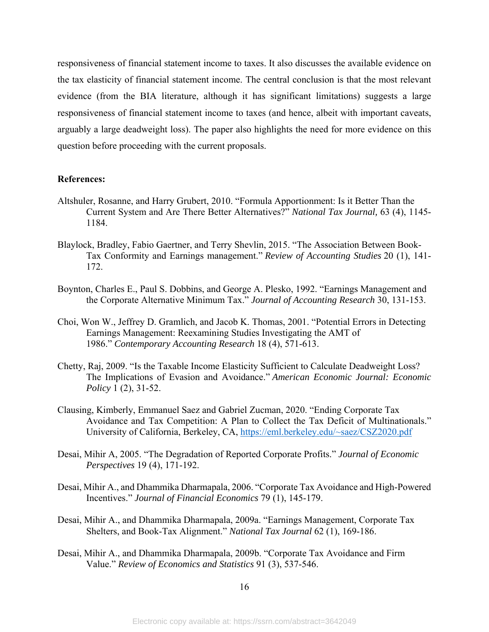responsiveness of financial statement income to taxes. It also discusses the available evidence on the tax elasticity of financial statement income. The central conclusion is that the most relevant evidence (from the BIA literature, although it has significant limitations) suggests a large responsiveness of financial statement income to taxes (and hence, albeit with important caveats, arguably a large deadweight loss). The paper also highlights the need for more evidence on this question before proceeding with the current proposals.

#### **References:**

- Altshuler, Rosanne, and Harry Grubert, 2010. "Formula Apportionment: Is it Better Than the Current System and Are There Better Alternatives?" *National Tax Journal,* 63 (4), 1145- 1184.
- Blaylock, Bradley, Fabio Gaertner, and Terry Shevlin, 2015. "The Association Between Book-Tax Conformity and Earnings management." *Review of Accounting Studies* 20 (1), 141- 172.
- Boynton, Charles E., Paul S. Dobbins, and George A. Plesko, 1992. "Earnings Management and the Corporate Alternative Minimum Tax." *Journal of Accounting Research* 30, 131-153.
- Choi, Won W., Jeffrey D. Gramlich, and Jacob K. Thomas, 2001. "Potential Errors in Detecting Earnings Management: Reexamining Studies Investigating the AMT of 1986." *Contemporary Accounting Research* 18 (4), 571-613.
- Chetty, Raj, 2009. "Is the Taxable Income Elasticity Sufficient to Calculate Deadweight Loss? The Implications of Evasion and Avoidance." *American Economic Journal: Economic Policy* 1 (2), 31-52.
- Clausing, Kimberly, Emmanuel Saez and Gabriel Zucman, 2020. "Ending Corporate Tax Avoidance and Tax Competition: A Plan to Collect the Tax Deficit of Multinationals." University of California, Berkeley, CA, https://eml.berkeley.edu/~saez/CSZ2020.pdf
- Desai, Mihir A, 2005. "The Degradation of Reported Corporate Profits." *Journal of Economic Perspectives* 19 (4), 171-192.
- Desai, Mihir A., and Dhammika Dharmapala, 2006. "Corporate Tax Avoidance and High-Powered Incentives." *Journal of Financial Economics* 79 (1), 145-179.
- Desai, Mihir A., and Dhammika Dharmapala, 2009a. "Earnings Management, Corporate Tax Shelters, and Book-Tax Alignment." *National Tax Journal* 62 (1), 169-186.
- Desai, Mihir A., and Dhammika Dharmapala, 2009b. "Corporate Tax Avoidance and Firm Value." *Review of Economics and Statistics* 91 (3), 537-546.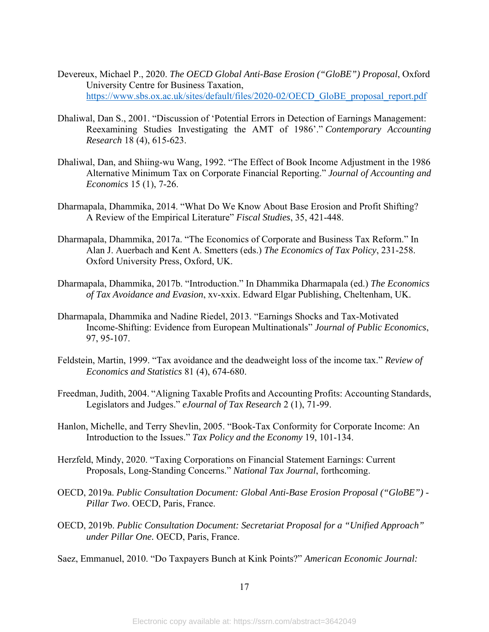- Devereux, Michael P., 2020. *The OECD Global Anti-Base Erosion ("GloBE") Proposal*, Oxford University Centre for Business Taxation, https://www.sbs.ox.ac.uk/sites/default/files/2020-02/OECD\_GloBE\_proposal\_report.pdf
- Dhaliwal, Dan S., 2001. "Discussion of 'Potential Errors in Detection of Earnings Management: Reexamining Studies Investigating the AMT of 1986'." *Contemporary Accounting Research* 18 (4), 615-623.
- Dhaliwal, Dan, and Shiing-wu Wang, 1992. "The Effect of Book Income Adjustment in the 1986 Alternative Minimum Tax on Corporate Financial Reporting." *Journal of Accounting and Economics* 15 (1), 7-26.
- Dharmapala, Dhammika, 2014. "What Do We Know About Base Erosion and Profit Shifting? A Review of the Empirical Literature" *Fiscal Studies*, 35, 421-448.
- Dharmapala, Dhammika, 2017a. "The Economics of Corporate and Business Tax Reform." In Alan J. Auerbach and Kent A. Smetters (eds.) *The Economics of Tax Policy*, 231-258. Oxford University Press, Oxford, UK.
- Dharmapala, Dhammika, 2017b. "Introduction." In Dhammika Dharmapala (ed.) *The Economics of Tax Avoidance and Evasion*, xv-xxix. Edward Elgar Publishing, Cheltenham, UK.
- Dharmapala, Dhammika and Nadine Riedel, 2013. "Earnings Shocks and Tax-Motivated Income-Shifting: Evidence from European Multinationals" *Journal of Public Economics*, 97, 95-107.
- Feldstein, Martin, 1999. "Tax avoidance and the deadweight loss of the income tax." *Review of Economics and Statistics* 81 (4), 674-680.
- Freedman, Judith, 2004. "Aligning Taxable Profits and Accounting Profits: Accounting Standards, Legislators and Judges." *eJournal of Tax Research* 2 (1), 71-99.
- Hanlon, Michelle, and Terry Shevlin, 2005. "Book-Tax Conformity for Corporate Income: An Introduction to the Issues." *Tax Policy and the Economy* 19, 101-134.
- Herzfeld, Mindy, 2020. "Taxing Corporations on Financial Statement Earnings: Current Proposals, Long-Standing Concerns." *National Tax Journal*, forthcoming.
- OECD, 2019a. *Public Consultation Document: Global Anti-Base Erosion Proposal ("GloBE") Pillar Two*. OECD, Paris, France.
- OECD, 2019b. *Public Consultation Document: Secretariat Proposal for a "Unified Approach" under Pillar One.* OECD, Paris, France.

Saez, Emmanuel, 2010. "Do Taxpayers Bunch at Kink Points?" *American Economic Journal:*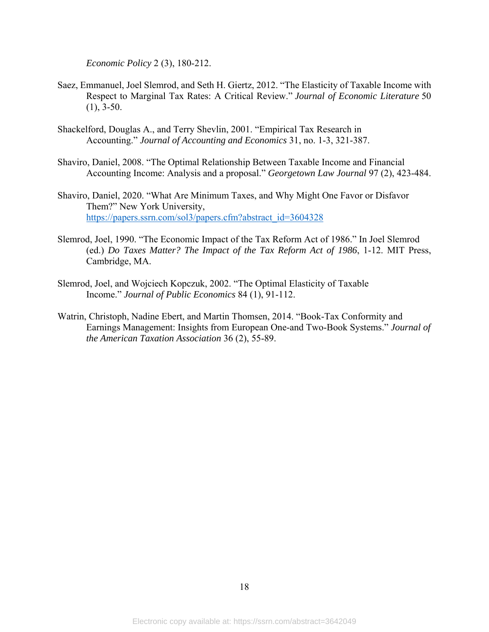*Economic Policy* 2 (3), 180-212.

- Saez, Emmanuel, Joel Slemrod, and Seth H. Giertz, 2012. "The Elasticity of Taxable Income with Respect to Marginal Tax Rates: A Critical Review." *Journal of Economic Literature* 50  $(1), 3-50.$
- Shackelford, Douglas A., and Terry Shevlin, 2001. "Empirical Tax Research in Accounting." *Journal of Accounting and Economics* 31, no. 1-3, 321-387.
- Shaviro, Daniel, 2008. "The Optimal Relationship Between Taxable Income and Financial Accounting Income: Analysis and a proposal." *Georgetown Law Journal* 97 (2), 423-484.
- Shaviro, Daniel, 2020. "What Are Minimum Taxes, and Why Might One Favor or Disfavor Them?" New York University, https://papers.ssrn.com/sol3/papers.cfm?abstract\_id=3604328
- Slemrod, Joel, 1990. "The Economic Impact of the Tax Reform Act of 1986." In Joel Slemrod (ed.) *Do Taxes Matter? The Impact of the Tax Reform Act of 1986*, 1-12. MIT Press, Cambridge, MA.
- Slemrod, Joel, and Wojciech Kopczuk, 2002. "The Optimal Elasticity of Taxable Income." *Journal of Public Economics* 84 (1), 91-112.
- Watrin, Christoph, Nadine Ebert, and Martin Thomsen, 2014. "Book-Tax Conformity and Earnings Management: Insights from European One-and Two-Book Systems." *Journal of the American Taxation Association* 36 (2), 55-89.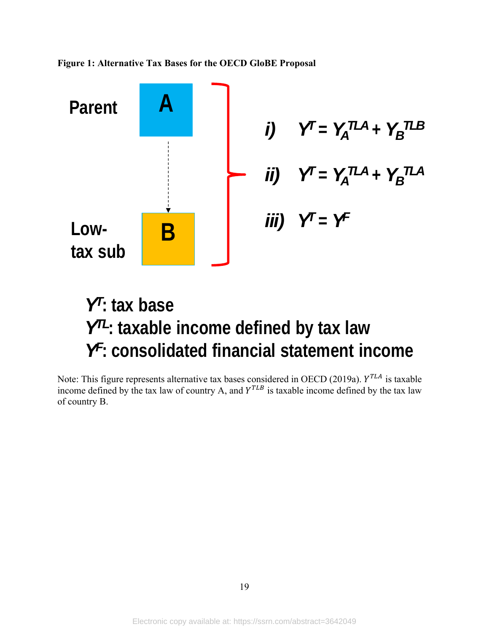**Figure 1: Alternative Tax Bases for the OECD GloBE Proposal**



# *YT***: tax base** *YTL***: taxable income defined by tax law** *YF***: consolidated financial statement income**

Note: This figure represents alternative tax bases considered in OECD (2019a).  $Y^{TLA}$  is taxable income defined by the tax law of country A, and  $Y^{TLB}$  is taxable income defined by the tax law of country B.